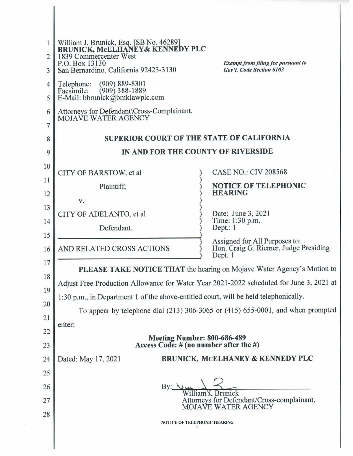| 1<br>$\overline{2}$<br>3<br>4<br>5<br>6 | William J. Brunick, Esq. [SB No. 46289]<br>BRUNICK, McELHANEY& KENNEDY PLC<br>1839 Commercenter West<br>P.O. Box 13130<br>San Bernardino, California 92423-3130<br>$(909) 889 - 8301$<br>Telephone:<br>Facsimile:<br>$(909)$ 388-1889<br>E-Mail: bbrunick@bmklawplc.com<br>Attorneys for Defendant\Cross-Complainant,<br>MOJAVE WATER AGENCY | <b>Exempt from filing fee pursuant to</b><br>Gov't. Code Section 6103             |  |  |  |  |  |  |  |
|-----------------------------------------|----------------------------------------------------------------------------------------------------------------------------------------------------------------------------------------------------------------------------------------------------------------------------------------------------------------------------------------------|-----------------------------------------------------------------------------------|--|--|--|--|--|--|--|
| 7                                       |                                                                                                                                                                                                                                                                                                                                              |                                                                                   |  |  |  |  |  |  |  |
| 8                                       | <b>SUPERIOR COURT OF THE STATE OF CALIFORNIA</b>                                                                                                                                                                                                                                                                                             |                                                                                   |  |  |  |  |  |  |  |
| 9                                       | IN AND FOR THE COUNTY OF RIVERSIDE                                                                                                                                                                                                                                                                                                           |                                                                                   |  |  |  |  |  |  |  |
| 10                                      | CITY OF BARSTOW, et al                                                                                                                                                                                                                                                                                                                       | <b>CASE NO.: CIV 208568</b>                                                       |  |  |  |  |  |  |  |
| 11                                      | Plaintiff,                                                                                                                                                                                                                                                                                                                                   | <b>NOTICE OF TELEPHONIC</b>                                                       |  |  |  |  |  |  |  |
| 12                                      | V.                                                                                                                                                                                                                                                                                                                                           | <b>HEARING</b>                                                                    |  |  |  |  |  |  |  |
| 13                                      | CITY OF ADELANTO, et al                                                                                                                                                                                                                                                                                                                      | Date: June 3, 2021                                                                |  |  |  |  |  |  |  |
| 14<br>15                                | Defendant.                                                                                                                                                                                                                                                                                                                                   | Time: 1:30 p.m.<br>Dept.: $1$                                                     |  |  |  |  |  |  |  |
| 16                                      | AND RELATED CROSS ACTIONS                                                                                                                                                                                                                                                                                                                    | Assigned for All Purposes to:<br>Hon. Craig G. Riemer, Judge Presiding<br>Dept. 1 |  |  |  |  |  |  |  |
| 17                                      | PLEASE TAKE NOTICE THAT the hearing on Mojave Water Agency's Motion to                                                                                                                                                                                                                                                                       |                                                                                   |  |  |  |  |  |  |  |
| 18                                      | Adjust Free Production Allowance for Water Year 2021-2022 scheduled for June 3, 2021 at                                                                                                                                                                                                                                                      |                                                                                   |  |  |  |  |  |  |  |
| 19<br>20                                | 1:30 p.m., in Department 1 of the above-entitled court, will be held telephonically.                                                                                                                                                                                                                                                         |                                                                                   |  |  |  |  |  |  |  |
| 21                                      | To appear by telephone dial $(213)$ 306-3065 or $(415)$ 655-0001, and when prompted                                                                                                                                                                                                                                                          |                                                                                   |  |  |  |  |  |  |  |
| 22                                      | enter:                                                                                                                                                                                                                                                                                                                                       |                                                                                   |  |  |  |  |  |  |  |
| 23                                      | <b>Meeting Number: 800-686-489</b><br>Access Code: # (no number after the #)                                                                                                                                                                                                                                                                 |                                                                                   |  |  |  |  |  |  |  |
| 24                                      | Dated: May 17, 2021                                                                                                                                                                                                                                                                                                                          | <b>BRUNICK, MCELHANEY &amp; KENNEDY PLC</b>                                       |  |  |  |  |  |  |  |
| 25                                      |                                                                                                                                                                                                                                                                                                                                              |                                                                                   |  |  |  |  |  |  |  |
| 26                                      |                                                                                                                                                                                                                                                                                                                                              |                                                                                   |  |  |  |  |  |  |  |
| 27                                      | Attorneys for Defendant/Cross-complainant,<br><b>MOJAVE WATER AGENCY</b>                                                                                                                                                                                                                                                                     |                                                                                   |  |  |  |  |  |  |  |
| 28                                      | <b>NOTICE OF TELEPHONIC HEARING</b>                                                                                                                                                                                                                                                                                                          |                                                                                   |  |  |  |  |  |  |  |
|                                         |                                                                                                                                                                                                                                                                                                                                              |                                                                                   |  |  |  |  |  |  |  |
|                                         |                                                                                                                                                                                                                                                                                                                                              |                                                                                   |  |  |  |  |  |  |  |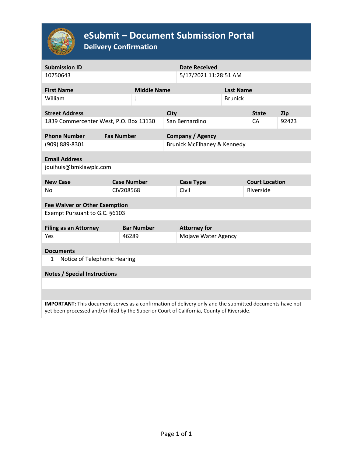

# **eSubmit – Document Submission Portal**

**Delivery Confirmation**

| <b>Submission ID</b>                                                                                                                                                                                 |  |                             |  | <b>Date Received</b>    |                  |                       |            |  |  |  |
|------------------------------------------------------------------------------------------------------------------------------------------------------------------------------------------------------|--|-----------------------------|--|-------------------------|------------------|-----------------------|------------|--|--|--|
| 10750643                                                                                                                                                                                             |  |                             |  | 5/17/2021 11:28:51 AM   |                  |                       |            |  |  |  |
| <b>First Name</b>                                                                                                                                                                                    |  | <b>Middle Name</b>          |  |                         | <b>Last Name</b> |                       |            |  |  |  |
| William                                                                                                                                                                                              |  | J                           |  | <b>Brunick</b>          |                  |                       |            |  |  |  |
| <b>Street Address</b>                                                                                                                                                                                |  | <b>City</b>                 |  |                         |                  | <b>State</b>          | <b>Zip</b> |  |  |  |
| 1839 Commercenter West, P.O. Box 13130                                                                                                                                                               |  | San Bernardino              |  |                         | CA               | 92423                 |            |  |  |  |
| <b>Phone Number</b>                                                                                                                                                                                  |  | <b>Fax Number</b>           |  | <b>Company / Agency</b> |                  |                       |            |  |  |  |
| (909) 889-8301                                                                                                                                                                                       |  | Brunick McElhaney & Kennedy |  |                         |                  |                       |            |  |  |  |
| <b>Email Address</b>                                                                                                                                                                                 |  |                             |  |                         |                  |                       |            |  |  |  |
| jquihuis@bmklawplc.com                                                                                                                                                                               |  |                             |  |                         |                  |                       |            |  |  |  |
| <b>New Case</b>                                                                                                                                                                                      |  | <b>Case Number</b>          |  | <b>Case Type</b>        |                  | <b>Court Location</b> |            |  |  |  |
| No                                                                                                                                                                                                   |  | CIV208568                   |  | Civil                   |                  | Riverside             |            |  |  |  |
| <b>Fee Waiver or Other Exemption</b>                                                                                                                                                                 |  |                             |  |                         |                  |                       |            |  |  |  |
| Exempt Pursuant to G.C. §6103                                                                                                                                                                        |  |                             |  |                         |                  |                       |            |  |  |  |
| <b>Filing as an Attorney</b>                                                                                                                                                                         |  | <b>Bar Number</b>           |  | <b>Attorney for</b>     |                  |                       |            |  |  |  |
| Yes                                                                                                                                                                                                  |  | 46289                       |  | Mojave Water Agency     |                  |                       |            |  |  |  |
| <b>Documents</b>                                                                                                                                                                                     |  |                             |  |                         |                  |                       |            |  |  |  |
| Notice of Telephonic Hearing<br>1                                                                                                                                                                    |  |                             |  |                         |                  |                       |            |  |  |  |
| <b>Notes / Special Instructions</b>                                                                                                                                                                  |  |                             |  |                         |                  |                       |            |  |  |  |
|                                                                                                                                                                                                      |  |                             |  |                         |                  |                       |            |  |  |  |
|                                                                                                                                                                                                      |  |                             |  |                         |                  |                       |            |  |  |  |
| IMPORTANT: This document serves as a confirmation of delivery only and the submitted documents have not<br>yet been processed and/or filed by the Superior Court of California, County of Riverside. |  |                             |  |                         |                  |                       |            |  |  |  |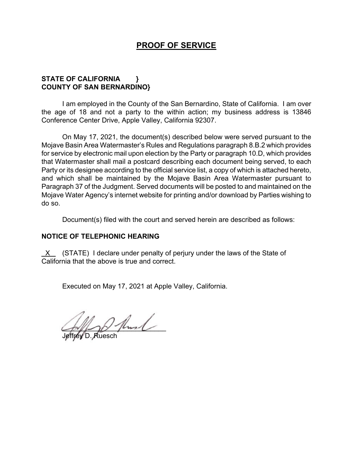## **PROOF OF SERVICE**

## **STATE OF CALIFORNIA } COUNTY OF SAN BERNARDINO}**

I am employed in the County of the San Bernardino, State of California. I am over the age of 18 and not a party to the within action; my business address is 13846 Conference Center Drive, Apple Valley, California 92307.

On May 17, 2021, the document(s) described below were served pursuant to the Mojave Basin Area Watermaster's Rules and Regulations paragraph 8.B.2 which provides for service by electronic mail upon election by the Party or paragraph 10.D, which provides that Watermaster shall mail a postcard describing each document being served, to each Party or its designee according to the official service list, a copy of which is attached hereto, and which shall be maintained by the Mojave Basin Area Watermaster pursuant to Paragraph 37 of the Judgment. Served documents will be posted to and maintained on the Mojave Water Agency's internet website for printing and/or download by Parties wishing to do so.

Document(s) filed with the court and served herein are described as follows:

## **NOTICE OF TELEPHONIC HEARING**

 X (STATE) I declare under penalty of perjury under the laws of the State of California that the above is true and correct.

Executed on May 17, 2021 at Apple Valley, California.

 $\sim$ 

Jeffrey D. Ruesch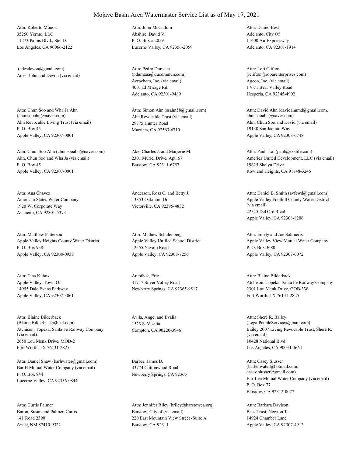35250 Yermo, LLC 11273 Palms Blvd., Ste. D. Los Angeles, CA 90066-2122 Attn: Roberto Munoz

Ades, John and Devon (via email) (adesdevon@gmail.com)

Ahn Revocable Living Trust (via email) P. O. Box 45 Apple Valley, CA 92307-0001 Attn: Chun Soo and Wha Ja Ahn<br>(chunsooahn@naver.com)

Ahn, Chun Soo and Wha Ja (via email) P. O. Box 45 Apple Valley, CA 92307-0001 Attn: Chun Soo Ahn (chunsooahn@naver.com) Ake, Charles J. and Marjorie M.

American States Water Company 1920 W. Corporate Way Anaheim, CA 92801-5373 Attn: Ana Chavez **Anderson, Ross C.** and Betty J.

Apple Valley Heights County Water District P. O. Box 938 Apple Valley, CA 92308-0938 Attn: Matthew Patterson

Apple Valley, Town Of 14955 Dale Evans Parkway Apple Valley, CA 92307-3061 Attn: Tina Kuhns Archibek, Eric

Atchison, Topeka, Santa Fe Railway Company (via email) 2650 Lou Menk Drive, MOB-2 Fort Worth, TX 76131-2825 Attn: Blaine Bilderback (Blaine.Bilderback@bnsf.com)

Bar H Mutual Water Company (via email) P. O. Box 844 Lucerne Valley, CA 92356-0844 Attn: Daniel Shaw (barhwater@gmail.com) Barber, James B.

Baron, Susan and Palmer, Curtis 141 Road 2390 Aztec, NM 87410-9322 Attn: Curtis Palmer

Abshire, David V. P. O. Box # 2059 Lucerne Valley, CA 92356-2059 Attn: John McCallum

Aerochem, Inc. (via email) 4001 El Mirage Rd. Adelanto, CA 92301-9489 Attn: Pedro Dumaua (pdumaua@ducommun.com)

Ahn Revocable Trust (via email) 29775 Hunter Road Murrieta, CA 92563-6710 Attn: Simon Ahn (ssahn58@gmail.com)

2301 Muriel Drive, Apt. 67 Barstow, CA 92311-6757

13853 Oakmont Dr. Victorville, CA 92395-4832

Apple Valley Unified School District 12555 Navajo Road Apple Valley, CA 92308-7256 Attn: Mathew Schulenberg

41717 Silver Valley Road Newberry Springs, CA 92365-9517

Avila, Angel and Evalia 1523 S. Visalia

43774 Cottonwood Road Newberry Springs, CA 92365

Barstow, City of (via email) 220 East Mountain View Street -Suite A Barstow, CA 92311 Attn: Jennifer Riley (hriley@barstowca.org) Adelanto, City Of 11600 Air Expressway Adelanto, CA 92301-1914 Attn: Daniel Best

Agcon, Inc. (via email) 17671 Bear Valley Road Hesperia, CA 92345-4902 Attn: Lori Clifton (lclifton@robarenterprises.com)

Ahn, Chun Soo and David (via email) 19130 San Jacinto Way Apple Valley, CA 92308-6748 Attn: David Ahn (davidahnmd@gmail.com, chunsooahn@naver.com)

America United Development, LLC (via email) 19625 Shelyn Drive Rowland Heights, CA 91748-3246 Attn: Paul Tsai (paul@ezzlife.com)

Apple Valley Foothill County Water District (via email) 22545 Del Oro Road Apple Valley, CA 92308-8206 Attn: Daniel B. Smith (avfcwd@gmail.com)

Apple Valley View Mutual Water Company P. O. Box 3680 Apple Valley, CA 92307-0072 Attn: Emely and Joe Saltmeris

Atchison, Topeka, Santa Fe Railway Company 2301 Lou Menk Drive, GOB-3W Fort Worth, TX 76131-2825 Attn: Blaine Bilderback

Compton, CA 90220-3946 Bailey 2007 Living Revocable Trust, Sheré R. (via email) 10428 National Blvd Los Angeles, CA 90034-4664 Attn: Sheré R. Bailey (LegalPeopleService@gmail.com)

> Bar-Len Mutual Water Company (via email) P. O. Box 77 Barstow, CA 92312-0077 Attn: Casey Slusser (barlenwater@hotmail.com; casey.slusser@gmail.com)

Bass Trust, Newton T. 14924 Chamber Lane Apple Valley, CA 92307-4912 Attn: Barbara Davison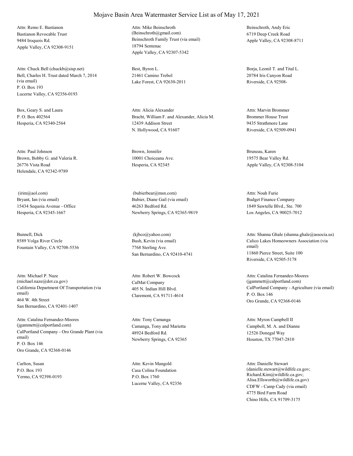Bastianon Revocable Trust 9484 Iroquois Rd. Apple Valley, CA 92308-9151 Attn: Remo E. Bastianon

Bell, Charles H. Trust dated March 7, 2014 (via email) P. O. Box 193 Lucerne Valley, CA 92356-0193 Attn: Chuck Bell (chuckb@sisp.net) Best, Byron L.

Box, Geary S. and Laura P. O. Box 402564 Hesperia, CA 92340-2564

Brown, Bobby G. and Valeria R. 26776 Vista Road Helendale, CA 92342-9789 Attn: Paul Johnson Brown, Jennifer

Bryant, Ian (via email) 15434 Sequoia Avenue - Office Hesperia, CA 92345-1667 (irim@aol.com)

Bunnell, Dick 8589 Volga River Circle Fountain Valley, CA 92708-5536

California Department Of Transportation (via email) 464 W. 4th Street San Bernardino, CA 92401-1407 Attn: Michael P. Naze (michael.naze@dot.ca.gov) CalMat Company

CalPortland Company - Oro Grande Plant (via email) P. O. Box 146 Oro Grande, CA 92368-0146 Attn: Catalina Fernandez-Moores (jgammett@calportland.com) Camanga, Tony and Marietta

Carlton, Susan P.O. Box 193 Yermo, CA 92398-0193 Beinschroth Family Trust (via email) 18794 Sentenac Apple Valley, CA 92307-5342 Attn: Mike Beinschroth (Beinschroth@gmail.com)

21461 Camino Trebol Lake Forest, CA 92630-2011

Bracht, William F. and Alexander, Alicia M. 12439 Addison Street N. Hollywood, CA 91607 Attn: Alicia Alexander

10001 Choiceana Ave. Hesperia, CA 92345

Bubier, Diane Gail (via email) 46263 Bedford Rd. Newberry Springs, CA 92365-9819 (bubierbear@msn.com)

Bush, Kevin (via email) 7768 Sterling Ave. San Bernardino, CA 92410-4741 (kjbco@yahoo.com)

405 N. Indian Hill Blvd. Claremont, CA 91711-4614 Attn: Robert W. Bowcock

48924 Bedford Rd. Newberry Springs, CA 92365 Attn: Tony Camanga

Casa Colina Foundation P.O. Box 1760 Lucerne Valley, CA 92356 Attn: Kevin Mangold

Beinschroth, Andy Eric 6719 Deep Creek Road Apple Valley, CA 92308-8711

Borja, Leonil T. and Tital L. 20784 Iris Canyon Road Riverside, CA 92508-

Brommer House Trust 9435 Strathmore Lane Riverside, CA 92509-0941 Attn: Marvin Brommer

Bruneau, Karen 19575 Bear Valley Rd. Apple Valley, CA 92308-5104

Budget Finance Company 1849 Sawtelle Blvd., Ste. 700 Los Angeles, CA 90025-7012 Attn: Noah Furie

Calico Lakes Homeowners Association (via email) 11860 Pierce Street, Suite 100 Riverside, CA 92505-5178 Attn: Shanna Ghale (shanna.ghale@associa.us)

CalPortland Company - Agriculture (via email) P. O. Box 146 Oro Grande, CA 92368-0146 Attn: Catalina Fernandez-Moores (jgammett@calportland.com)

Campbell, M. A. and Dianne 12526 Donegal Way Houston, TX 77047-2810 Attn: Myron Campbell II

CDFW - Camp Cady (via email) 4775 Bird Farm Road Chino Hills, CA 91709-3175 Attn: Danielle Stewart (danielle.stewart@wildlife.ca.gov; Richard.Kim@wildlife.ca.gov; Alisa.Ellsworth@wildlife.ca.gov)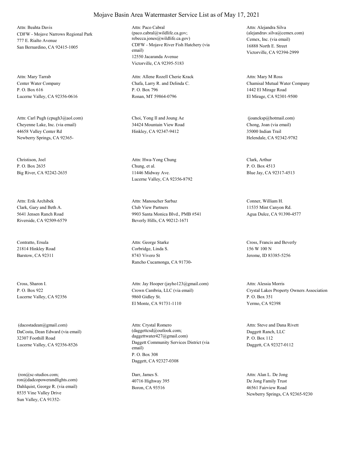CDFW - Mojave Narrows Regional Park 777 E. Rialto Avenue San Bernardino, CA 92415-1005 Attn: Beahta Davis

Center Water Company P. O. Box 616 Lucerne Valley, CA 92356-0616 Attn: Mary Tarrab

Cheyenne Lake, Inc. (via email) 44658 Valley Center Rd Newberry Springs, CA 92365- Attn: Carl Pugh (cpugh3@aol.com) Choi, Yong Il and Joung Ae

Christison, Joel P. O. Box 2635 Big River, CA 92242-2635

Clark, Gary and Beth A. 5641 Jensen Ranch Road Riverside, CA 92509-6579 Attn: Erik Archibek

Contratto, Ersula 21814 Hinkley Road Barstow, CA 92311

Cross, Sharon I. P. O. Box 922 Lucerne Valley, CA 92356

DaCosta, Dean Edward (via email) 32307 Foothill Road Lucerne Valley, CA 92356-8526 (dacostadean@gmail.com)

Dahlquist, George R. (via email) 8535 Vine Valley Drive Sun Valley, CA 91352- (ron@sc-studios.com; ron@dadcopowerandlights.com)

#### CDFW - Mojave River Fish Hatchery (via email) 12550 Jacaranda Avenue Attn: Paco Cabral (paco.cabral@wildlife.ca.gov; rebecca.jones@wildlife.ca.gov) Cemex, Inc. (via email)

Chafa, Larry R. and Delinda C. P. O. Box 796 Ronan, MT 59864-0796 Attn: Allene Rozell Cherie Krack

Victorville, CA 92395-5183

34424 Mountain View Road Hinkley, CA 92347-9412

Chung, et al. 11446 Midway Ave. Lucerne Valley, CA 92356-8792 Attn: Hwa-Yong Chung Clark, Arthur

Club View Partners 9903 Santa Monica Blvd., PMB #541 Beverly Hills, CA 90212-1671 Attn: Manoucher Sarbaz Conner, William H.

Corbridge, Linda S. 8743 Vivero St Rancho Cucamonga, CA 91730- Attn: George Starke Cross, Francis and Beverly

Crown Cambria, LLC (via email) 9860 Gidley St. El Monte, CA 91731-1110 Attn: Jay Hooper (jayho123@gmail.com)

Daggett Community Services District (via email) P. O. Box 308 Daggett, CA 92327-0308 Attn: Crystal Romero (daggettcsd@outlook.com; daggettwater427@gmail.com)

Darr, James S. 40716 Highway 395 Boron, CA 93516

16888 North E. Street Victorville, CA 92394-2999 Attn: Alejandra Silva (alejandrav.silva@cemex.com)

Chamisal Mutual Water Company 1442 El Mirage Road El Mirage, CA 92301-9500 Attn: Mary M Ross

Chong, Joan (via email) 35000 Indian Trail Helendale, CA 92342-9782 (joancksp@hotmail.com)

P. O. Box 4513 Blue Jay, CA 92317-4513

11535 Mint Canyon Rd. Agua Dulce, CA 91390-4577

156 W 100 N Jerome, ID 83385-5256

Crystal Lakes Property Owners Association P. O. Box 351 Yermo, CA 92398 Attn: Alessia Morris

Daggett Ranch, LLC P. O. Box 112 Daggett, CA 92327-0112 Attn: Steve and Dana Rivett

De Jong Family Trust 46561 Fairview Road Newberry Springs, CA 92365-9230 Attn: Alan L. De Jong

## Mojave Basin Area Watermaster Service List as of May 17, 2021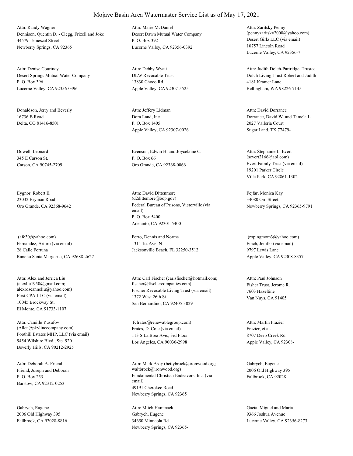Dennison, Quentin D. - Clegg, Frizell and Joke 44579 Temescal Street Newberry Springs, CA 92365 Attn: Randy Wagner

Desert Springs Mutual Water Company P. O. Box 396 Lucerne Valley, CA 92356-0396 Attn: Denise Courtney

Donaldson, Jerry and Beverly 16736 B Road Delta, CO 81416-8501

Dowell, Leonard 345 E Carson St. Carson, CA 90745-2709

Eygnor, Robert E. 23032 Bryman Road

Fernandez, Arturo (via email) 28 Calle Fortuna Rancho Santa Margarita, CA 92688-2627 (afc30@yahoo.com) Ferro, Dennis and Norma

First CPA LLC (via email) 10045 Brockway St. El Monte, CA 91733-1107 Attn: Alex and Jerrica Liu (alexliu1950@gmail.com;

Foothill Estates MHP, LLC (via email) 9454 Wilshire Blvd., Ste. 920 Beverly Hills, CA 90212-2925 Attn: Camille Yusufov (Allen@skylinecompany.com) Frates, D. Cole (via email)

Friend, Joseph and Deborah P. O. Box 253 Barstow, CA 92312-0253 Attn: Deborah A. Friend

Gabrych, Eugene 2006 Old Highway 395 Fallbrook, CA 92028-8816 Desert Dawn Mutual Water Company P. O. Box 392 Lucerne Valley, CA 92356-0392 Attn: Marie McDaniel

DLW Revocable Trust 13830 Choco Rd. Apple Valley, CA 92307-5525 Attn: Debby Wyatt

Dora Land, Inc. P. O. Box 1405 Apple Valley, CA 92307-0026 Attn: Jeffery Lidman

Evenson, Edwin H. and Joycelaine C. P. O. Box 66 Oro Grande, CA 92368-0066 Evert Family Trust (via email)

Oro Grande, CA 92368-9642 Federal Bureau of Prisons, Victorville (via email) P. O. Box 5400 Adelanto, CA 92301-5400 Attn: David Dittenmore (d2dittemore@bop.gov)

> 1311 1st Ave. N Jacksonville Beach, FL 32250-3512

alexroseanneliu@yahoo.com) Fischer Revocable Living Trust (via email) 1372 West 26th St. San Bernardino, CA 92405-3029 Attn: Carl Fischer (carlsfischer@hotmail.com; fischer@fischercompanies.com) Fisher Trust, Jerome R.

> 113 S La Brea Ave., 3rd Floor Los Angeles, CA 90036-2998 (cfrates@renewablegroup.com)

Fundamental Christian Endeavors, Inc. (via email) 49191 Cherokee Road Newberry Springs, CA 92365 Attn: Mark Asay (bettybrock@ironwood.org; waltbrock@ironwood.org)

Gabrych, Eugene 34650 Minneola Rd Newberry Springs, CA 92365Desert Girlz LLC (via email) 10757 Lincoln Road Lucerne Valley, CA 92356-7 Attn: Zaritsky Penny (pennyzaritsky2000@yahoo.com)

Dolch Living Trust Robert and Judith 4181 Kramer Lane Bellingham, WA 98226-7145 Attn: Judith Dolch-Partridge, Trustee

Dorrance, David W. and Tamela L. 2027 Valleria Court Sugar Land, TX 77479- Attn: David Dorrance

19201 Parker Circle Villa Park, CA 92861-1302 Attn: Stephanie L. Evert (severt2166@aol.com)

Fejfar, Monica Kay 34080 Ord Street Newberry Springs, CA 92365-9791

Finch, Jenifer (via email) 9797 Lewis Lane Apple Valley, CA 92308-8357 (ropingmom3@yahoo.com)

7603 Hazeltine Van Nuys, CA 91405 Attn: Paul Johnson

Frazier, et al. 8707 Deep Creek Rd Apple Valley, CA 92308- Attn: Martin Frazier

Gabrych, Eugene 2006 Old Highway 395 Fallbrook, CA 92028

Attn: Mitch Hammack Gaeta, Miguel and Maria 9366 Joshua Avenue Lucerne Valley, CA 92356-8273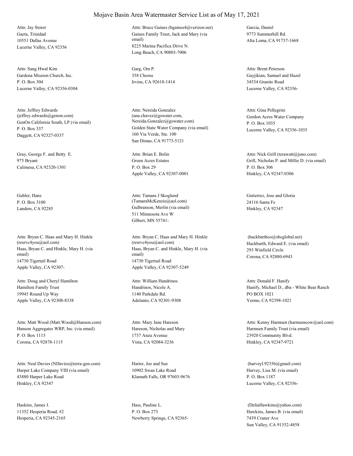Gaeta, Trinidad 10551 Dallas Avenue Lucerne Valley, CA 92356 Attn: Jay Storer

Gardena Mission Church, Inc. P. O. Box 304 Lucerne Valley, CA 92356-0304 Attn: Sang Hwal Kim Garg, Om P.

GenOn California South, LP (via email) P. O. Box 337 Daggett, CA 92327-0337 Attn: Jeffrey Edwards (jeffrey.edwards@genon.com)

Gray, George F. and Betty E. 975 Bryant Calimesa, CA 92320-1301

Gubler, Hans P. O. Box 3100

Haas, Bryan C. and Hinkle, Mary H. (via email) 14730 Tigertail Road Apple Valley, CA 92307- Attn: Bryan C. Haas and Mary H. Hinkle (resrvc4you@aol.com)

Hamilton Family Trust 19945 Round Up Way Apple Valley, CA 92308-8338 Attn: Doug and Cheryl Hamilton

Hanson Aggregates WRP, Inc. (via email) P. O. Box 1115 Corona, CA 92878-1115 Attn: Matt Wood (Matt.Wood@Hanson.com)

Harper Lake Company VIII (via email) 43880 Harper Lake Road Hinkley, CA 92347 Attn: Neal Davies (NDavies@terra-gen.com) Harter, Joe and Sue

Haskins, James J. 11352 Hesperia Road, #2 Hesperia, CA 92345-2165

#### Mojave Basin Area Watermaster Service List as of May 17, 2021

Gaines Family Trust, Jack and Mary (via email) 8225 Marina Pacifica Drive N. Long Beach, CA 90803-7006 Attn: Bruce Gaines (bgaines4@verizon.net) Garcia, Daniel

358 Chorus Irvine, CA 92618-1414

Golden State Water Company (via email) 160 Via Verde, Ste. 100 San Dimas, CA 91773-5121 Attn: Nereida Gonzalez (ana.chavez@gswater.com, Nereida.Gonzalez@gswater.com)

Green Acres Estates P. O. Box 29 Apple Valley, CA 92307-0001 Attn: Brian E. Bolin

Landers, CA 92285 Gulbranson, Merlin (via email) 511 Minnesota Ave W Gilbert, MN 55741- Attn: Tamara J Skoglund (TamaraMcKenzie@aol.com)

> Haas, Bryan C. and Hinkle, Mary H. (via email) 14730 Tigertail Road Apple Valley, CA 92307-5249 Attn: Bryan C. Haas and Mary H. Hinkle (resrvc4you@aol.com) Hackbarth, Edward E. (via email)

Handrinos, Nicole A. 1140 Parkdale Rd. Adelanto, CA 92301-9308 Attn: William Handrinos

Hareson, Nicholas and Mary 1737 Anza Avenue Vista, CA 92084-3236 Attn: Mary Jane Hareson

10902 Swan Lake Road Klamath Falls, OR 97603-9676

Hass, Pauline L. P. O. Box 273 Newberry Springs, CA 923659773 Summerhill Rd. Alta Loma, CA 91737-1668

Gayjikian, Samuel and Hazel 34534 Granite Road Lucerne Valley, CA 92356- Attn: Brent Peterson

Gordon Acres Water Company P. O. Box 1035 Lucerne Valley, CA 92356-1035 Attn: Gina Pellegrini

Grill, Nicholas P. and Millie D. (via email) P. O. Box 306 Hinkley, CA 92347-0306 Attn: Nick Grill (terawatt@juno.com)

Gutierrez, Jose and Gloria 24116 Santa Fe Hinkley, CA 92347

293 Winfield Circle Corona, CA 92880-6943 (hackbarthco@sbcglobal.net)

Hanify, Michael D., dba - White Bear Ranch PO BOX 1021 Yermo, CA 92398-1021 Attn: Donald F. Hanify

Harmsen Family Trust (via email) 23920 Community Blvd. Hinkley, CA 92347-9721 Attn: Kenny Harmsen (harmsencow@aol.com)

Harvey, Lisa M. (via email) P. O. Box 1187 Lucerne Valley, CA 92356- (harveyl.92356@gmail.com)

Hawkins, James B. (via email) 7439 Craner Ave Sun Valley, CA 91352-4858 (DeliaHawkins@yahoo.com)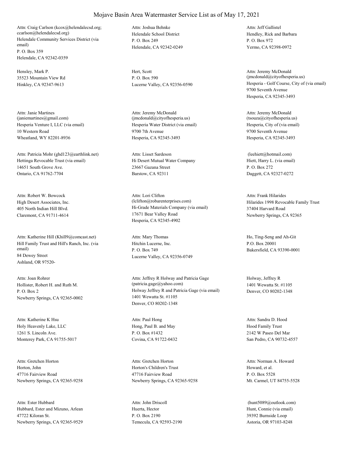Helendale Community Services District (via email) P. O. Box 359 Helendale, CA 92342-0359 Attn: Craig Carlson (kcox@helendalecsd.org; ccarlson@helendalecsd.org) Helendale School District

Hensley, Mark P. 35523 Mountain View Rd Hinkley, CA 92347-9613

Hesperia Venture I, LLC (via email) 10 Western Road Wheatland, WY 82201-8936 Attn: Janie Martines (janiemartines@gmail.com)

Hettinga Revocable Trust (via email) 14651 South Grove Ave. Ontario, CA 91762-7704 Attn: Patricia Mohr (ghd123@earthlink.net)

High Desert Associates, Inc. 405 North Indian Hill Blvd. Claremont, CA 91711-4614 Attn: Robert W. Bowcock

Hill Family Trust and Hill's Ranch, Inc. (via email) 84 Dewey Street Ashland, OR 97520- Attn: Katherine Hill (Khill9@comcast.net)

Hollister, Robert H. and Ruth M. P. O. Box 2 Newberry Springs, CA 92365-0002 Attn: Joan Rohrer

Holy Heavenly Lake, LLC 1261 S. Lincoln Ave. Monterey Park, CA 91755-5017 Attn: Katherine K Hsu

Horton, John 47716 Fairview Road Newberry Springs, CA 92365-9258 Attn: Gretchen Horton

Hubbard, Ester and Mizuno, Arlean 47722 Kiloran St. Newberry Springs, CA 92365-9529 Attn: Ester Hubbard

P. O. Box 249 Helendale, CA 92342-0249 Attn: Joshua Behnke

Hert, Scott P. O. Box 590

Hesperia Water District (via email) 9700 7th Avenue Hesperia, CA 92345-3493 Attn: Jeremy McDonald (jmcdonald@cityofhesperia.us)

Hi Desert Mutual Water Company 23667 Gazana Street Barstow, CA 92311 Attn: Lisset Sardeson

Hi-Grade Materials Company (via email) 17671 Bear Valley Road Hesperia, CA 92345-4902 Attn: Lori Clifton (lclifton@robarenterprises.com) Hilarides 1998 Revocable Family Trust

Hitchin Lucerne, Inc. P. O. Box 749 Lucerne Valley, CA 92356-0749

Holway Jeffrey R and Patricia Gage (via email) 1401 Wewatta St. #1105 Denver, CO 80202-1348 Attn: Jeffrey R Holway and Patricia Gage (patricia.gage@yahoo.com)

Hong, Paul B. and May P. O. Box #1432 Covina, CA 91722-0432 Attn: Paul Hong

Horton's Children's Trust 47716 Fairview Road Newberry Springs, CA 92365-9258 Attn: Gretchen Horton

Huerta, Hector P. O. Box 2190 Temecula, CA 92593-2190 Attn: John Driscoll

Hendley, Rick and Barbara P. O. Box 972 Yermo, CA 92398-0972 Attn: Jeff Gallistel

Lucerne Valley, CA 92356-0590 Hesperia - Golf Course, City of (via email) 9700 Seventh Avenue Hesperia, CA 92345-3493 Attn: Jeremy McDonald (jmcdonald@cityofhesperia.us)

> Hesperia, City of (via email) 9700 Seventh Avenue Hesperia, CA 92345-3493 Attn: Jeremy McDonald (tsouza@cityofhesperia.us)

Hiett, Harry L. (via email) P. O. Box 272 Daggett, CA 92327-0272 (leehiett@hotmail.com)

37404 Harvard Road Newberry Springs, CA 92365 Attn: Frank Hilarides

Attn: Mary Thomas Ho, Ting-Seng and Ah-Git P.O. Box 20001 Bakersfield, CA 93390-0001

> Holway, Jeffrey R 1401 Wewatta St. #1105 Denver, CO 80202-1348

Hood Family Trust 2142 W Paseo Del Mar San Pedro, CA 90732-4557 Attn: Sandra D. Hood

Howard, et al. P. O. Box 5528 Mt. Carmel, UT 84755-5528 Attn: Norman A. Howard

Hunt, Connie (via email) 39392 Burnside Loop Astoria, OR 97103-8248 (hunt5089@outlook.com)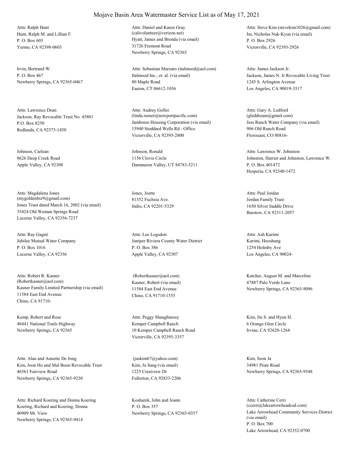Hunt, Ralph M. and Lillian F. P. O. Box 603 Yermo, CA 92398-0603 Attn: Ralph Hunt

Irvin, Bertrand W. P. O. Box 467 Newberry Springs, CA 92365-0467

Jackson, Ray Revocable Trust No. 45801 P.O. Box 8250 Redlands, CA 92375-1450 Attn: Lawrence Dean

Johnson, Carlean 8626 Deep Creek Road Apple Valley, CA 92308

Jones Trust dated March 16, 2002 (via email) 35424 Old Woman Springs Road Lucerne Valley, CA 92356-7237 Attn: Magdalena Jones (mygoldenbiz9@gmail.com)

Jubilee Mutual Water Company P. O. Box 1016 Lucerne Valley, CA 92356 Attn: Ray Gagné

Kasner Family Limited Partnership (via email) 11584 East End Avenue Chino, CA 91710- Attn: Robert R. Kasner (Robertkasner@aol.com) Kasner, Robert (via email)

Kemp, Robert and Rose 48441 National Trails Highway Newberry Springs, CA 92365

Kim, Joon Ho and Mal Boon Revocable Trust 46561 Fairview Road Newberry Springs, CA 92365-9230 Attn: Alan and Annette De Jong

Koering, Richard and Koering, Donna 40909 Mt. View Newberry Springs, CA 92365-9414 Attn: Richard Koering and Donna Koering Kosharek, John and Joann

#### Mojave Basin Area Watermaster Service List as of May 17, 2021

Hyatt, James and Brenda (via email) 31726 Fremont Road Newberry Springs, CA 92365 Attn: Daniel and Karen Gray (calivolunteer@verizon.net) Im, Nicholas Nak-Kyun (via email)

Italmood Inc., et. al. (via email) 80 Maple Road Easton, CT 06612-1036 Attn: Sebastian Marzaro (italmood@aol.com)

Jamboree Housing Corporation (via email) 15940 Stoddard Wells Rd - Office Victorville, CA 92395-2800 Attn: Audrey Goller (linda.rainer@newportpacific.com)

Johnson, Ronald 1156 Clovis Circle Dammeron Valley, UT 84783-5211

Jones, Joette 81352 Fuchsia Ave. Indio, CA 92201-5329

Juniper Riviera County Water District P. O. Box 386 Apple Valley, CA 92307 Attn: Lee Logsdon

11584 East End Avenue Chino, CA 91710-1555

Kemper Campbell Ranch 10 Kemper Campbell Ranch Road Victorville, CA 92395-3357 Attn: Peggy Shaughnessy Kim, Jin S. and Hyun H.

Kim, Ju Sang (via email) 1225 Crestview Dr Fullerton, CA 92833-2206 (juskim67@yahoo.com) Kim, Seon Ja

P. O. Box 357

P. O. Box 2926 Victorville, CA 92393-2926 Attn: Steve Kim (stevekim1026@gmail.com)

Jackson, James N. Jr Revocable Living Trust 1245 S. Arlington Avenue Los Angeles, CA 90019-3517 Attn: James Jackson Jr.

Jess Ranch Water Company (via email) 906 Old Ranch Road Florissant, CO 80816- Attn: Gary A. Ledford (gleddream@gmail.com)

Johnston, Harriet and Johnston, Lawrence W. P. O. Box 401472 Hesperia, CA 92340-1472 Attn: Lawrence W. Johnston

Jordan Family Trust 1650 Silver Saddle Drive Barstow, CA 92311-2057 Attn: Paul Jordan

Karimi, Hooshang 1254 Holmby Ave Los Angeles, CA 90024- Attn: Ash Karimi

 (Robertkasner@aol.com) Katcher, August M. and Marceline 47887 Palo Verde Lane Newberry Springs, CA 92365-9096

> 6 Orange Glen Circle Irvine, CA 92620-1264

34981 Piute Road Newberry Springs, CA 92365-9548

Newberry Springs, CA 92365-0357 Lake Arrowhead Community Services District (via email) P. O. Box 700 Lake Arrowhead, CA 92352-0700 Attn: Catherine Cerri (ccerri@lakearrowheadcsd.com)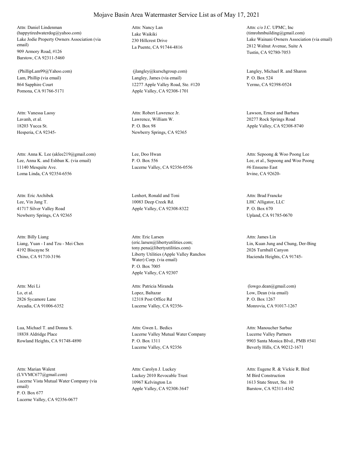Lake Jodie Property Owners Association (via email) 909 Armory Road, #126 Barstow, CA 92311-5460 Attn: Daniel Lindenman (happytiredwaterdog@yahoo.com) Lake Waikiki

Lam, Phillip (via email) 864 Sapphire Court Pomona, CA 91766-5171 (PhillipLam99@Yahoo.com)

Lavanh, et al. 18203 Yucca St. Hesperia, CA 92345- Attn: Vanessa Laosy

Lee, Anna K. and Eshban K. (via email) 11140 Mesquite Ave. Loma Linda, CA 92354-6556 Attn: Anna K. Lee (aklee219@gmail.com) Lee, Doo Hwan

Lee, Vin Jang T. 41717 Silver Valley Road Newberry Springs, CA 92365 Attn: Eric Archibek Lenhert, Ronald and Toni

Liang, Yuan - I and Tzu - Mei Chen 4192 Biscayne St Chino, CA 91710-3196 Attn: Billy Liang

Lo, et al. 2826 Sycamore Lane Arcadia, CA 91006-6352 Attn: Mei Li

Lua, Michael T. and Donna S. 18838 Aldridge Place Rowland Heights, CA 91748-4890

Lucerne Vista Mutual Water Company (via email) P. O. Box 677 Lucerne Valley, CA 92356-0677 Attn: Marian Walent (LVVMC677@gmail.com) Luckey 2010 Revocable Trust

230 Hillcrest Drive La Puente, CA 91744-4816 Attn: Nancy Lan

Langley, James (via email) 12277 Apple Valley Road, Ste. #120 Apple Valley, CA 92308-1701

Lawrence, William W. P. O. Box 98 Newberry Springs, CA 92365

P. O. Box 556 Lucerne Valley, CA 92356-0556

10083 Deep Creek Rd. Apple Valley, CA 92308-8322

Liberty Utilities (Apple Valley Ranchos Water) Corp. (via email) P. O. Box 7005 Apple Valley, CA 92307 Attn: Eric Larsen (eric.larsen@libertyutilities.com; tony.pena@libertyutilities.com)

Lopez, Baltazar 12318 Post Office Rd Lucerne Valley, CA 92356- Attn: Patricia Miranda

Lucerne Valley Mutual Water Company P. O. Box 1311 Lucerne Valley, CA 92356 Attn: Gwen L. Bedics

10967 Kelvington Ln Apple Valley, CA 92308-3647 Attn: Carolyn J. Luckey

Lake Wainani Owners Association (via email) 2812 Walnut Avenue, Suite A Tustin, CA 92780-7053 Attn: c/o J.C. UPMC, Inc (timrohmbuilding@gmail.com)

 (jlangley@kurschgroup.com) Langley, Michael R. and Sharon P. O. Box 524 Yermo, CA 92398-0524

Attn: Robert Lawrence Jr. Lawson, Ernest and Barbara 20277 Rock Springs Road Apple Valley, CA 92308-8740

> Lee, et al., Sepoong and Woo Poong #6 Ensueno East Irvine, CA 92620- Attn: Sepoong & Woo Poong Lee

LHC Alligator, LLC P. O. Box 670 Upland, CA 91785-0670 Attn: Brad Francke

Lin, Kuan Jung and Chung, Der-Bing 2026 Turnball Canyon Hacienda Heights, CA 91745- Attn: James Lin

Low, Dean (via email) P. O. Box 1267 Monrovia, CA 91017-1267 (lowgo.dean@gmail.com)

Lucerne Valley Partners 9903 Santa Monica Blvd., PMB #541 Beverly Hills, CA 90212-1671 Attn: Manoucher Sarbaz

M Bird Construction 1613 State Street, Ste. 10 Barstow, CA 92311-4162 Attn: Eugene R. & Vickie R. Bird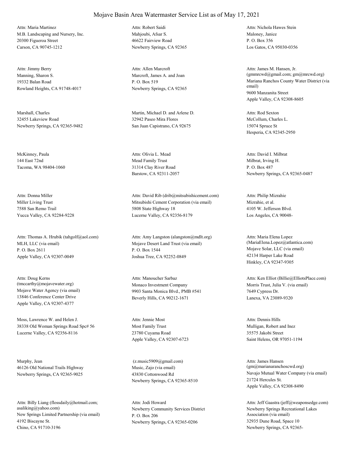M.B. Landscaping and Nursery, Inc. 20300 Figueroa Street Carson, CA 90745-1212 Attn: Maria Martinez

Manning, Sharon S. 19332 Balan Road Rowland Heights, CA 91748-4017 Attn: Jimmy Berry

Marshall, Charles 32455 Lakeview Road Newberry Springs, CA 92365-9482

McKinney, Paula 144 East 72nd Tacoma, WA 98404-1060

Miller Living Trust 7588 San Remo Trail Yucca Valley, CA 92284-9228 Attn: Donna Miller

MLH, LLC (via email) P. O. Box 2611 Apple Valley, CA 92307-0049 Attn: Thomas A. Hrubik (tahgolf@aol.com)

Mojave Water Agency (via email) 13846 Conference Center Drive Apple Valley, CA 92307-4377 Attn: Doug Kerns (tmccarthy@mojavewater.org) Monaco Investment Company

Moss, Lawrence W. and Helen J. 38338 Old Woman Springs Road Spc# 56 Lucerne Valley, CA 92356-8116

Murphy, Jean 46126 Old National Trails Highway Newberry Springs, CA 92365-9025

New Springs Limited Partnership (via email) 4192 Biscayne St. Chino, CA 91710-3196 Attn: Billy Liang (flossdaily@hotmail.com; asaliking@yahoo.com) Newberry Community Services District

Mahioubi, Afsar S. 46622 Fairview Road Newberry Springs, CA 92365 Attn: Robert Saidi

Marcroft, James A. and Joan P. O. Box 519 Newberry Springs, CA 92365 Attn: Allen Marcroft

Martin, Michael D. and Arlene D. 32942 Paseo Mira Flores San Juan Capistrano, CA 92675

Mead Family Trust 31314 Clay River Road Barstow, CA 92311-2057 Attn: Olivia L. Mead

Mitsubishi Cement Corporation (via email) 5808 State Highway 18 Lucerne Valley, CA 92356-8179 Attn: David Rib (drib@mitsubishicement.com)

Mojave Desert Land Trust (via email) P. O. Box 1544 Joshua Tree, CA 92252-0849 Attn: Amy Langston (alangston@mdlt.org)

9903 Santa Monica Blvd., PMB #541 Beverly Hills, CA 90212-1671 Attn: Manoucher Sarbaz

Most Family Trust 23780 Cuyama Road Apple Valley, CA 92307-6723 Attn: Jennie Most

Music, Zajo (via email) 43830 Cottonwood Rd Newberry Springs, CA 92365-8510 (z.music5909@gmail.com)

P. O. Box 206 Newberry Springs, CA 92365-0206 Attn: Jodi Howard

Maloney, Janice P. O. Box 356 Los Gatos, CA 95030-0356 Attn: Nichola Hawes Stein

Mariana Ranchos County Water District (via email) 9600 Manzanita Street Apple Valley, CA 92308-8605 Attn: James M. Hansen, Jr. (gmmrcwd@gmail.com; gm@mrcwd.org)

McCollum, Charles L. 15074 Spruce St Hesperia, CA 92345-2950 Attn: Rod Sexton

Milbrat, Irving H. P. O. Box 487 Newberry Springs, CA 92365-0487 Attn: David I. Milbrat

Mizrahie, et al. 4105 W. Jefferson Blvd. Los Angeles, CA 90048- Attn: Philip Mizrahie

Mojave Solar, LLC (via email) 42134 Harper Lake Road Hinkley, CA 92347-9305 Attn: Maria Elena Lopez (MariaElena.Lopez@atlantica.com)

Morris Trust, Julia V. (via email) 7649 Cypress Dr. Lanexa, VA 23089-9320 Attn: Ken Elliot (Billie@ElliotsPlace.com)

Mulligan, Robert and Inez 35575 Jakobi Street Saint Helens, OR 97051-1194 Attn: Dennis Hills

Navajo Mutual Water Company (via email) 21724 Hercules St. Apple Valley, CA 92308-8490 Attn: James Hansen (gm@marianaranchoscwd.org)

Newberry Springs Recreational Lakes Association (via email) 32935 Dune Road, Space 10 Newberry Springs, CA 92365- Attn: Jeff Gaastra (jeff@weaponsedge.com)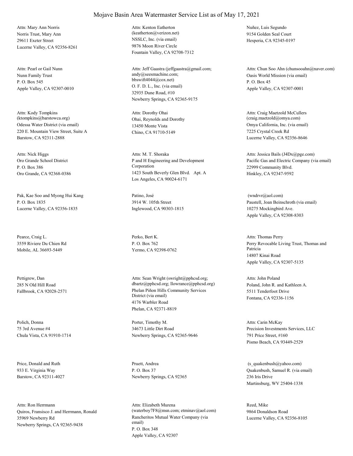Norris Trust, Mary Ann 29611 Exeter Street Lucerne Valley, CA 92356-8261 Attn: Mary Ann Norris

Nunn Family Trust P. O. Box 545 Apple Valley, CA 92307-0010 Attn: Pearl or Gail Nunn

Odessa Water District (via email) 220 E. Mountain View Street, Suite A Barstow, CA 92311-2888 Attn: Kody Tompkins (ktompkins@barstowca.org) Ohai, Reynolds and Dorothy

Oro Grande School District P. O. Box 386 Oro Grande, CA 92368-0386 Attn: Nick Higgs

Pak, Kae Soo and Myong Hui Kang P. O. Box 1835 Lucerne Valley, CA 92356-1835

Pearce, Craig L. 3559 Riviere Du Chien Rd Mobile, AL 36693-5449

Pettigrew, Dan 285 N Old Hill Road

Polich, Donna 75 3rd Avenue #4 Chula Vista, CA 91910-1714

Price, Donald and Ruth 933 E. Virginia Way Barstow, CA 92311-4027

Quiros, Fransisco J. and Herrmann, Ronald 35969 Newberry Rd Newberry Springs, CA 92365-9438 Attn: Ron Herrmann

NSSLC, Inc. (via email) 9876 Moon River Circle Fountain Valley, CA 92708-7312 Attn: Kenton Eatherton (keatherton@verizon.net)

O. F. D. L., Inc. (via email) 32935 Dune Road, #10 Newberry Springs, CA 92365-9175 Attn: Jeff Gaastra (jeffgaastra@gmail.com; andy@seesmachine.com; bbswift4044@cox.net)

13450 Monte Vista Chino, CA 91710-5149 Attn: Dorothy Ohai

P and H Engineering and Development Corporation 1423 South Beverly Glen Blvd. Apt. A Los Angeles, CA 90024-6171 Attn: M. T. Shoraka

Patino, José 3914 W. 105th Street Inglewood, CA 90303-1815

Perko, Bert K. P. O. Box 762 Yermo, CA 92398-0762

Fallbrook, CA 92028-2571 Phelan Piñon Hills Community Services District (via email) 4176 Warbler Road Phelan, CA 92371-8819 Attn: Sean Wright (swright@pphcsd.org; dbartz@pphcsd.org; llowrance@pphcsd.org) Poland, John R. and Kathleen A.

> Porter, Timothy M. 34673 Little Dirt Road Newberry Springs, CA 92365-9646

Pruett, Andrea P. O. Box 37 Newberry Springs, CA 92365

Rancheritos Mutual Water Company (via email) P. O. Box 348 Apple Valley, CA 92307 Attn: Elizabeth Murena (waterboy7F8@msn.com; etminav@aol.com) Nuñez, Luis Segundo 9154 Golden Seal Court Hesperia, CA 92345-0197

Oasis World Mission (via email) P. O. Box 45 Apple Valley, CA 92307-0001 Attn: Chun Soo Ahn (chunsooahn@naver.com)

Omya California, Inc. (via email) 7225 Crystal Creek Rd Lucerne Valley, CA 92356-8646 Attn: Craig Maetzold McCullers (craig.maetzold@omya.com)

Pacific Gas and Electric Company (via email) 22999 Community Blvd. Hinkley, CA 92347-9592 Attn: Jessica Bails (J4Dx@pge.com)

Paustell, Joan Beinschroth (via email) 10275 Mockingbird Ave. Apple Valley, CA 92308-8303 (wndrvr@aol.com)

Perry Revocable Living Trust, Thomas and Patricia 14807 Kinai Road Apple Valley, CA 92307-5135 Attn: Thomas Perry

5511 Tenderfoot Drive Fontana, CA 92336-1156 Attn: John Poland

Precision Investments Services, LLC 791 Price Street, #160 Pismo Beach, CA 93449-2529 Attn: Carin McKay

Quakenbush, Samuel R. (via email) 236 Iris Drive Martinsburg, WV 25404-1338 (s\_quakenbush@yahoo.com)

Reed, Mike 9864 Donaldson Road Lucerne Valley, CA 92356-8105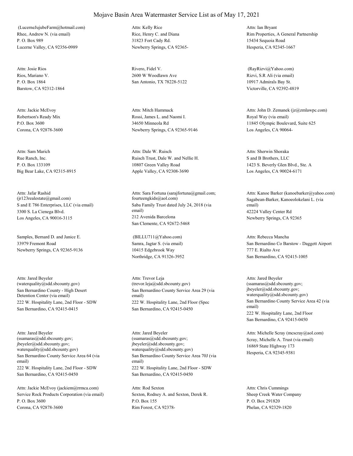Rhee, Andrew N. (via email) P. O. Box 989 Lucerne Valley, CA 92356-0989 (LucerneJujubeFarm@hotmail.com)

Rios, Mariano V. P. O. Box 1864 Barstow, CA 92312-1864 Attn: Josie Rios Rivero, Fidel V.

Robertson's Ready Mix P.O. Box 3600 Corona, CA 92878-3600 Attn: Jackie McEvoy

Rue Ranch, Inc. P. O. Box 133109 Big Bear Lake, CA 92315-8915 Attn: Sam Marich

S and E 786 Enterprises, LLC (via email) 3300 S. La Cienega Blvd. Los Angeles, CA 90016-3115 Attn: Jafar Rashid (jr123realestate@gmail.com)

Samples, Bernard D. and Janice E. 33979 Fremont Road Newberry Springs, CA 92365-9136

San Bernardino County - High Desert Detention Center (via email) 222 W. Hospitality Lane, 2nd Floor - SDW San Bernardino, CA 92415-0415 Attn: Jared Beyeler (waterquality@sdd.sbcounty.gov)

San Bernardino County Service Area 64 (via email) 222 W. Hospitality Lane, 2nd Floor - SDW San Bernardino, CA 92415-0450 Attn: Jared Beyeler (ssamaras@sdd.sbcounty.gov; jbeyeler@sdd.sbcounty.gov; waterquality@sdd.sbcounty.gov)

Service Rock Products Corporation (via email) P. O. Box 3600 Corona, CA 92878-3600 Attn: Jackie McEvoy (jackiem@rrmca.com)

Rice, Henry C. and Diana 31823 Fort Cady Rd. Newberry Springs, CA 92365- Attn: Kelly Rice

2600 W Woodlawn Ave San Antonio, TX 78228-5122

Rossi, James L. and Naomi I. 34650 Minneola Rd Newberry Springs, CA 92365-9146 Attn: Mitch Hammack

Ruisch Trust, Dale W. and Nellie H. 10807 Green Valley Road Apple Valley, CA 92308-3690 Attn: Dale W. Ruisch

Saba Family Trust dated July 24, 2018 (via email) 212 Avenida Barcelona San Clemente, CA 92672-5468 Attn: Sara Fortuna (sarajfortuna@gmail.com; fourteengkids@aol.com) Sagabean-Barker, Kanoeolokelani L. (via

Samra, Jagtar S. (via email) 10415 Edgebrook Way Northridge, CA 91326-3952 (BILLU711@Yahoo.com)

San Bernardino County Service Area 29 (via email) 222 W. Hospitality Lane, 2nd Floor (Spec San Bernardino, CA 92415-0450 Attn: Trevor Leja (trevor.leja@sdd.sbcounty.gov)

San Bernardino County Service Area 70J (via email) 222 W. Hospitality Lane, 2nd Floor - SDW San Bernardino, CA 92415-0450 Attn: Jared Beyeler (ssamaras@sdd.sbcounty.gov; jbeyeler@sdd.sbcounty.gov; waterquality@sdd.sbcounty.gov)

Sexton, Rodney A. and Sexton, Derek R. P.O. Box 155 Rim Forest, CA 92378- Attn: Rod Sexton

Rim Properties, A General Partnership 15434 Sequoia Road Hesperia, CA 92345-1667 Attn: Ian Bryant

Rizvi, S.R Ali (via email) 10917 Admirals Bay St. Victorville, CA 92392-4819 (RayRizvi@Yahoo.com)

Royal Way (via email) 11845 Olympic Boulevard, Suite 625 Los Angeles, CA 90064- Attn: John D. Zemanek (jz@zmlawpc.com)

S and B Brothers, LLC 1423 S. Beverly Glen Blvd., Ste. A Los Angeles, CA 90024-6171 Attn: Sherwin Shoraka

email) 42224 Valley Center Rd Newberry Springs, CA 92365 Attn: Kanoe Barker (kanoebarker@yahoo.com)

San Bernardino Co Barstow - Daggett Airport 777 E. Rialto Ave San Bernardino, CA 92415-1005 Attn: Rebecca Mancha

San Bernardino County Service Area 42 (via email) 222 W. Hospitality Lane, 2nd Floor San Bernardino, CA 92415-0450 Attn: Jared Beyeler (ssamaras@sdd.sbcounty.gov; jbeyeler@sdd.sbcounty.gov; waterquality@sdd.sbcounty.gov)

Scray, Michelle A. Trust (via email) 16869 State Highway 173 Hesperia, CA 92345-9381 Attn: Michelle Scray (mcscray@aol.com)

Sheep Creek Water Company P. O. Box 291820 Phelan, CA 92329-1820 Attn: Chris Cummings

### Mojave Basin Area Watermaster Service List as of May 17, 2021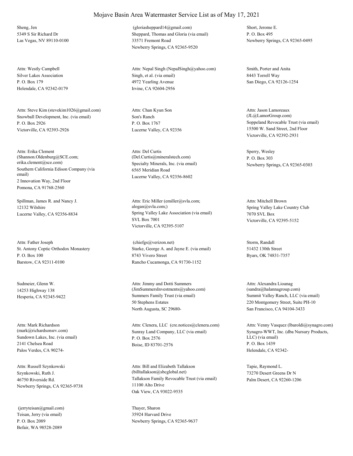Sheng, Jen 5349 S Sir Richard Dr Las Vegas, NV 89110-0100

Silver Lakes Association P. O. Box 179 Helendale, CA 92342-0179 Attn: Westly Campbell

Snowball Development, Inc. (via email) P. O. Box 2926 Victorville, CA 92393-2926 Attn: Steve Kim (stevekim1026@gmail.com)

Southern California Edison Company (via email) 2 Innovation Way, 2nd Floor Pomona, CA 91768-2560 Attn: Erika Clement (Shannon.Oldenburg@SCE.com; erika.clement@sce.com) Specialty Minerals, Inc. (via email)

Spillman, James R. and Nancy J. 12132 Wilshire

St. Antony Coptic Orthodox Monastery P. O. Box 100 Barstow, CA 92311-0100 Attn: Father Joseph

Sudmeier, Glenn W. 14253 Highway 138

Sundown Lakes, Inc. (via email) 2141 Chelsea Road Palos Verdes, CA 90274- Attn: Mark Richardson

Szynkowski, Ruth J. 46750 Riverside Rd. Newberry Springs, CA 92365-9738 Attn: Russell Szynkowski

Teisan, Jerry (via email) P. O. Box 2089 Befair, WA 98528-2089 (jerryteisan@gmail.com) Thayer, Sharon

#### Mojave Basin Area Watermaster Service List as of May 17, 2021

Sheppard, Thomas and Gloria (via email) 33571 Fremont Road Newberry Springs, CA 92365-9520 (gloriasheppard14@gmail.com) Short, Jerome E.

Singh, et al. (via email) 4972 Yearling Avenue Irvine, CA 92604-2956 Attn: Nepal Singh (NepalSingh@yahoo.com) Smith, Porter and Anita

Son's Ranch P. O. Box 1767 Lucerne Valley, CA 92356 Attn: Chan Kyun Son

6565 Meridian Road Lucerne Valley, CA 92356-8602 Attn: Del Curtis (Del.Curtis@mineralstech.com)

Lucerne Valley, CA 92356-8834 Spring Valley Lake Association (via email) SVL Box 7001 Victorville, CA 92395-5107 Attn: Eric Miller (emiller@svla.com; alogan@svla.com;) Spring Valley Lake Country Club

> Starke, George A. and Jayne E. (via email) 8743 Vivero Street Rancho Cucamonga, CA 91730-1152 (chiefgs@verizon.net) Storm, Randall

Hesperia, CA 92345-9422 Summers Family Trust (via email) 50 Stephens Estates North Augusta, SC 29680- Attn: Jimmy and Dotti Summers (JimSummersInvestments@yahoo.com)

(mark@richardsonsrv.com) Sunray Land Company, LLC (via email) P. O. Box 2576 Boise, ID 83701-2576 Attn: Clenera, LLC (cre.notices@clenera.com)

> Tallakson Family Revocable Trust (via email) 11100 Alto Drive Oak View, CA 93022-9535 Attn: Bill and Elizabeth Tallakson (billtallakson@sbcglobal.net)

35924 Harvard Drive Newberry Springs, CA 92365-9637 P. O. Box 495 Newberry Springs, CA 92365-0495

8443 Torrell Way San Diego, CA 92126-1254

Soppeland Revocable Trust (via email) 15500 W. Sand Street, 2nd Floor Victorville, CA 92392-2931 Attn: Jason Lamoreaux (JL@LamorGroup.com)

Sperry, Wesley P. O. Box 303 Newberry Springs, CA 92365-0303

7070 SVL Box Victorville, CA 92395-5152 Attn: Mitchell Brown

51432 130th Street Byars, OK 74831-7357

Summit Valley Ranch, LLC (via email) 220 Montgomery Street, Suite PH-10 San Francisco, CA 94104-3433 Attn: Alexandra Lioanag (sandra@halannagroup.com)

Synagro-WWT, Inc. (dba Nursury Products, LLC) (via email) P. O. Box 1439 Helendale, CA 92342- Attn: Venny Vasquez (lbaroldi@synagro.com)

Tapie, Raymond L. 73270 Desert Greens Dr N Palm Desert, CA 92260-1206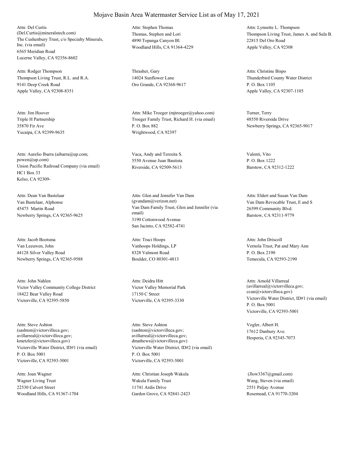The Cushenbury Trust, c/o Specialty Minerals, Inc. (via email) 6565 Meridian Road Lucerne Valley, CA 92356-8602 Attn: Del Curtis (Del.Curtis@mineralstech.com) Thomas, Stephen and Lori

Thompson Living Trust, R.L. and R.A. 9141 Deep Creek Road Apple Valley, CA 92308-8351 Attn: Rodger Thompson Thrasher, Gary

Triple H Partnership 35870 Fir Ave Yucaipa, CA 92399-9635 Attn: Jim Hoover

Union Pacific Railroad Company (via email) HC1 Box 33 Kelso, CA 92309- Attn: Aurelio Ibarra (aibarra@up.com; powen@up.com)

Van Bastelaar, Alphonse 45475 Martin Road Newberry Springs, CA 92365-9625 Attn: Dean Van Bastelaar

Van Leeuwen, John 44128 Silver Valley Road Newberry Springs, CA 92365-9588 Attn: Jacob Bootsma

Victor Valley Community College District 18422 Bear Valley Road Victorville, CA 92395-5850 Attn: John Nahlen

Victorville Water District, ID#1 (via email) P. O. Box 5001 Victorville, CA 92393-5001 Attn: Steve Ashton (sashton@victorvilleca.gov; avillarreal@victorvilleca.gov; kmetzler@victorvilleca.gov)

Wagner Living Trust 22530 Calvert Street Woodland Hills, CA 91367-1704 Attn: Joan Wagner

4890 Topanga Canyon Bl. Woodland Hills, CA 91364-4229 Attn: Stephen Thomas

14024 Sunflower Lane Oro Grande, CA 92368-9617

Troeger Family Trust, Richard H. (via email) P. O. Box 882 Wrightwood, CA 92397 Attn: Mike Troeger (mjtroeger@yahoo.com) Turner, Terry

Vaca, Andy and Teresita S. 5550 Avenue Juan Bautista Riverside, CA 92509-5613

Van Dam Family Trust, Glen and Jennifer (via email) 3190 Cottonwood Avenue San Jacinto, CA 92582-4741 Attn: Glen and Jennifer Van Dam (gvandam@verizon.net) Van Dam Revocable Trust, E and S

Vanhoops Holdings, LP 8328 Valmont Road Boulder, CO 80301-4813 Attn: Traci Hoops

Victor Valley Memorial Park 17150 C Street Victorville, CA 92395-3330 Attn: Deidra Hitt

Victorville Water District, ID#2 (via email) P. O. Box 5001 Victorville, CA 92393-5001 Attn: Steve Ashton (sashton@victorvilleca.gov; avillarreal@victorvilleca.gov; dmathews@victorvilleca.gov)

Wakula Family Trust 11741 Ardis Drive Garden Grove, CA 92841-2423 Attn: Christian Joseph Wakula

Thompson Living Trust, James A. and Sula B. 22815 Del Oro Road Apple Valley, CA 92308 Attn: Lynnette L. Thompson

Thunderbird County Water District P. O. Box 1105 Apple Valley, CA 92307-1105 Attn: Christine Bispo

48550 Riverside Drive Newberry Springs, CA 92365-9017

Valenti, Vito P. O. Box 1222 Barstow, CA 92312-1222

26599 Community Blvd. Barstow, CA 92311-9779 Attn: Eldert and Susan Van Dam

Vernola Trust, Pat and Mary Ann P. O. Box 2190 Temecula, CA 92593-2190 Attn: John Driscoll

Victorville Water District, ID#1 (via email) P. O. Box 5001 Victorville, CA 92393-5001 Attn: Arnold Villarreal (avillarreal@victorvilleca.gov; ccun@victorvilleca.gov)

Vogler, Albert H. 17612 Danbury Ave. Hesperia, CA 92345-7073

Wang, Steven (via email) 2551 Paljay Avenue Rosemead, CA 91770-3204 (Jlow3367@gmail.com)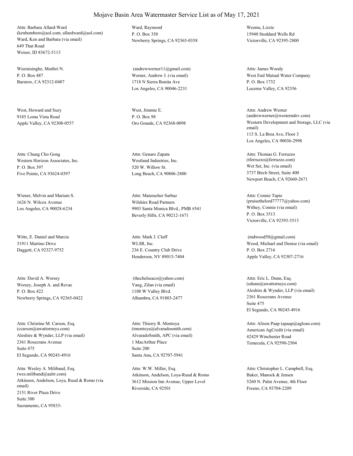Ward, Ken and Barbara (via email) 649 That Road Weiser, ID 83672-5113 Attn: Barbara Allard-Ward (kenbombero@aol.com; allardward@aol.com)

Weeraisinghe, Maithri N.  $P$ . O. Box 487 Barstow, CA 92312-0487

West, Howard and Suzy 9185 Loma Vista Road Apple Valley, CA 92308-0557

Western Horizon Associates, Inc. P. O. Box 397 Five Points, CA 93624-0397 Attn: Chung Cho Gong

Wiener, Melvin and Mariam S. 1626 N. Wilcox Avenue Los Angeles, CA 90028-6234

Witte, E. Daniel and Marcia 31911 Martino Drive Daggett, CA 92327-9752

Worsey, Joseph A. and Revae P. O. Box 422 Newberry Springs, CA 92365-0422 Attn: David A. Worsey

Aleshire & Wynder, LLP (via email) 2361 Rosecrans Avenue El Segundo, CA 90245-4916 Attn: Christine M. Carson, Esq. (ccarson@awattorneys.com) Suite 475

Atkinson, Andelson, Loya, Ruud & Romo (via email) 2151 River Plaza Drive Sacramento, CA 95833- Attn: Wesley A. Miliband, Esq. (wes.miliband@aalrr.com) Suite 300

Ward, Raymond P. O. Box 358 Newberry Springs, CA 92365-0358

Werner, Andrew J. (via email) 1718 N Sierra Bonita Ave Los Angeles, CA 90046-2231 (andrewwerner11@gmail.com)

West, Jimmie E. P. O. Box 98

Westland Industries, Inc. 520 W. Willow St. Long Beach, CA 90806-2800 Attn: Genaro Zapata

Wilshire Road Partners 9903 Santa Monica Blvd., PMB #541 Beverly Hills, CA 90212-1671 Attn: Manoucher Sarbaz

WLSR, Inc. 236 E. Country Club Drive Henderson, NV 89015-7404 Attn: Mark J. Cluff

Yang, Zilan (via email) 1108 W Valley Blvd. Alhambra, CA 91803-2477 (thechelseaco@yahoo.com)

AlvaradoSmith, APC (via email) 1 MacArthur Place Santa Ana, CA 92707-5941 Attn: Thierry R. Montoya (tmontoya@alvaradosmith.com) Suite 200

Atkinson, Andelson, Loya-Ruud & Romo 3612 Mission Inn Avenue, Upper Level Riverside, CA 92501 Attn: W.W. Miller, Esq.

Weems, Lizzie 15940 Stoddard Wells Rd Victorville, CA 92395-2800

West End Mutual Water Company P. O. Box 1732 Lucerne Valley, CA 92356 Attn: James Woody

Oro Grande, CA 92368-0098 Western Development and Storage, LLC (via email) 113 S. La Brea Ave, Floor 3 Los Angeles, CA 90036-2998 Attn: Andrew Werner (andrewwerner@westerndev.com)

> Wet Set, Inc. (via email) 3737 Birch Street, Suite 400 Newport Beach, CA 92660-2671 Attn: Thomas G. Ferruzzo (tferruzzo@ferruzzo.com)

Withey, Connie (via email) P. O. Box 3513 Victorville, CA 92393-3513 Attn: Connie Tapie (praisethelord77777@yahoo.com)

Wood, Michael and Denise (via email) P. O. Box 2716 Apple Valley, CA 92307-2716 (mdwood50@gmail.com)

Aleshire & Wynder, LLP (via email) 2361 Rosecrans Avenue El Segundo, CA 90245-4916 Attn: Eric L. Dunn, Esq. (edunn@awattorneys.com) Suite 475

American AgCredit (via email) 42429 Winchester Road Temecula, CA 92590-2504 Attn: Alison Paap (apaap@agloan.com)

Baker, Manock & Jensen 5260 N. Palm Avenue, 4th Floor Fresno, CA 93704-2209 Attn: Christopher L. Campbell, Esq.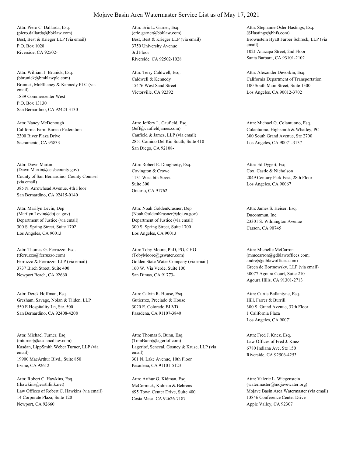Best, Best & Krieger LLP (via email) P.O. Box 1028 Riverside, CA 92502- Attn: Piero C. Dallarda, Esq. (piero.dallarda@bbklaw.com)

Brunick, McElhaney & Kennedy PLC (via email) 1839 Commercenter West San Bernardino, CA 92423-3130 Attn: William J. Brunick, Esq. (bbrunick@bmklawplc.com) P.O. Box 13130

California Farm Bureau Federation 2300 River Plaza Drive Sacramento, CA 95833 Attn: Nancy McDonough

County of San Bernardino, County Counsel (via email) 385 N. Arrowhead Avenue, 4th Floor San Bernardino, CA 92415-0140 Attn: Dawn Martin (Dawn.Martin@cc.sbcounty.gov) Covington & Crowe

Department of Justice (via email) 300 S. Spring Street, Suite 1702 Los Angeles, CA 90013 Attn: Marilyn Levin, Dep (Marilyn.Levin@doj.ca.gov)

Ferruzzo & Ferruzzo, LLP (via email) 3737 Birch Street, Suite 400 Newport Beach, CA 92660 Attn: Thomas G. Ferruzzo, Esq. (tferruzzo@ferruzzo.com)

Gresham, Savage, Nolan & Tilden, LLP 550 E Hospitality Ln, Ste. 500 San Bernardino, CA 92408-4208 Attn: Derek Hoffman, Esq.

Kasdan, LippSmith Weber Turner, LLP (via email) 19900 MacArthur Blvd., Suite 850 Irvine, CA 92612- Attn: Michael Turner, Esq. (mturner@kasdancdlaw.com)

Law Offices of Robert C. Hawkins (via email) 14 Corporate Plaza, Suite 120 Newport, CA 92660 Attn: Robert C. Hawkins, Esq. (rhawkins@earthlink.net) McCormick, Kidman & Behrens

Best, Best & Krieger LLP (via email) 3750 University Avenue Riverside, CA 92502-1028 Attn: Eric L. Garner, Esq. (eric.garner@bbklaw.com) 3rd Floor

Caldwell & Kennedy 15476 West Sand Street Victorville, CA 92392 Attn: Terry Caldwell, Esq.

Caufield & James, LLP (via email) 2851 Camino Del Rio South, Suite 410 San Diego, CA 92108- Attn: Jeffery L. Caufield, Esq.

1131 West 6th Street Ontario, CA 91762 Attn: Robert E. Dougherty, Esq. Suite 300

Department of Justice (via email) 300 S. Spring Street, Suite 1700 Los Angeles, CA 90013 Attn: Noah GoldenKrasner, Dep (Noah.GoldenKrasner@doj.ca.gov) Ducommun, Inc.

Golden State Water Company (via email) 160 W. Via Verde, Suite 100 San Dimas, CA 91773- Attn: Toby Moore, PhD, PG, CHG (TobyMoore@gswater.com)

Gutierrez, Preciado & House 3020 E. Colorado BLVD Pasadena, CA 91107-3840 Attn: Calvin R. House, Esq.

Lagerlof, Senecal, Gosney & Kruse, LLP (via email) 301 N. Lake Avenue, 10th Floor Pasadena, CA 91101-5123 Attn: Thomas S. Bunn, Esq. (TomBunn@lagerlof.com) Law Offices of Fred J. Knez

695 Town Center Drive, Suite 400 Costa Mesa, CA 92626-7187 Attn: Arthur G. Kidman, Esq.

Brownstein Hyatt Farber Schreck, LLP (via email) 1021 Anacapa Street, 2nd Floor Santa Barbara, CA 93101-2102 Attn: Stephanie Osler Hastings, Esq. (SHastings@bhfs.com)

California Department of Transportation 100 South Main Street, Suite 1300 Los Angeles, CA 90012-3702 Attn: Alexander Devorkin, Esq.

(Jeff@caufieldjames.com) Colantuono, Highsmith & Whatley, PC 300 South Grand Avenue, Ste 2700 Los Angeles, CA 90071-3137 Attn: Michael G. Colantuono, Esq.

> Cox, Castle & Nicholson 2049 Century Park East, 28th Floor Los Angeles, CA 90067 Attn: Ed Dygert, Esq.

23301 S. Wilmington Avenue Carson, CA 90745 Attn: James S. Heiser, Esq.

Green de Bortnowsky, LLP (via email) 30077 Agoura Court, Suite 210 Agoura Hills, CA 91301-2713 Attn: Michelle McCarron (mmccarron@gdblawoffices.com; andre@gdblawoffices.com)

Hill, Farrer & Burrill 300 S. Grand Avenue, 37th Floor Los Angeles, CA 90071 Attn: Curtis Ballantyne, Esq. 1 California Plaza

6780 Indiana Ave, Ste 150 Riverside, CA 92506-4253 Attn: Fred J. Knez, Esq.

Mojave Basin Area Watermaster (via email) 13846 Conference Center Drive Apple Valley, CA 92307 Attn: Valerie L. Wiegenstein (watermaster@mojavewater.org)